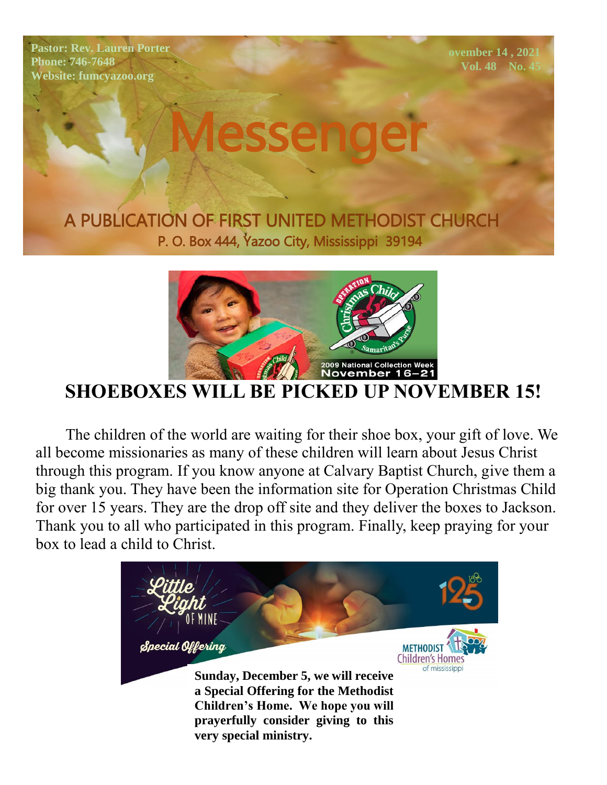**Pastor: Rev. Lauren Porter Phone: 746-7648 Website: fumcyazoo.org**

 **ovember 14 , 2021 Vol. 48 No. 45**

A PUBLICATION OF FIRST UNITED METHODIST CHURCH P. O. Box 444, Yazoo City, Mississippi 39194



Messenger

## **SHOEBOXES WILL BE PICKED UP NOVEMBER 15!**

 The children of the world are waiting for their shoe box, your gift of love. We all become missionaries as many of these children will learn about Jesus Christ through this program. If you know anyone at Calvary Baptist Church, give them a big thank you. They have been the information site for Operation Christmas Child for over 15 years. They are the drop off site and they deliver the boxes to Jackson. Thank you to all who participated in this program. Finally, keep praying for your box to lead a child to Christ.

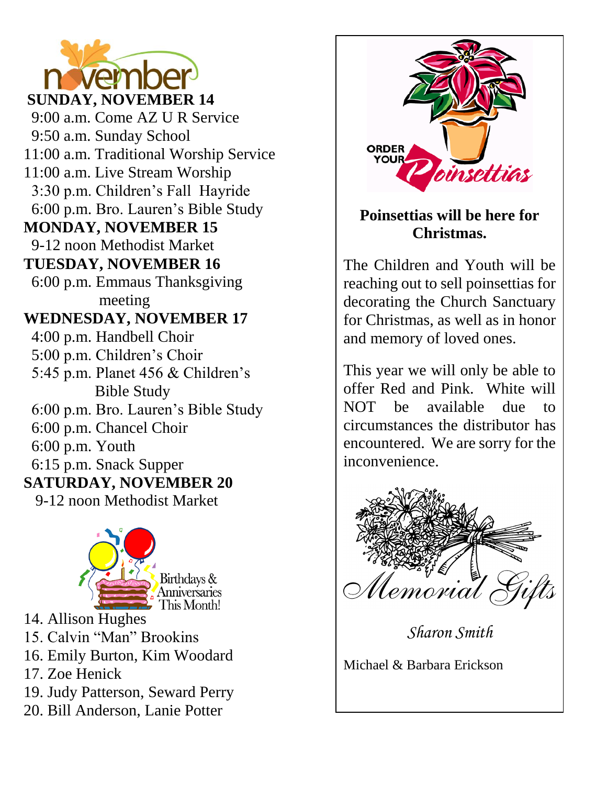

 9:00 a.m. Come AZ U R Service 9:50 a.m. Sunday School 11:00 a.m. Traditional Worship Service 11:00 a.m. Live Stream Worship 3:30 p.m. Children's Fall Hayride 6:00 p.m. Bro. Lauren's Bible Study **MONDAY, NOVEMBER 15** 9-12 noon Methodist Market **TUESDAY, NOVEMBER 16** 6:00 p.m. Emmaus Thanksgiving meeting **WEDNESDAY, NOVEMBER 17** 4:00 p.m. Handbell Choir 5:00 p.m. Children's Choir 5:45 p.m. Planet 456 & Children's Bible Study 6:00 p.m. Bro. Lauren's Bible Study 6:00 p.m. Chancel Choir 6:00 p.m. Youth 6:15 p.m. Snack Supper **SATURDAY, NOVEMBER 20** 9-12 noon Methodist Market



14. Allison Hughes

15. Calvin "Man" Brookins

16. Emily Burton, Kim Woodard

17. Zoe Henick

19. Judy Patterson, Seward Perry

20. Bill Anderson, Lanie Potter



#### **Poinsettias will be here for Christmas.**

The Children and Youth will be reaching out to sell poinsettias for decorating the Church Sanctuary for Christmas, as well as in honor and memory of loved ones.

This year we will only be able to offer Red and Pink. White will NOT be available due to circumstances the distributor has encountered. We are sorry for the inconvenience.



*Sharon Smith*

Michael & Barbara Erickson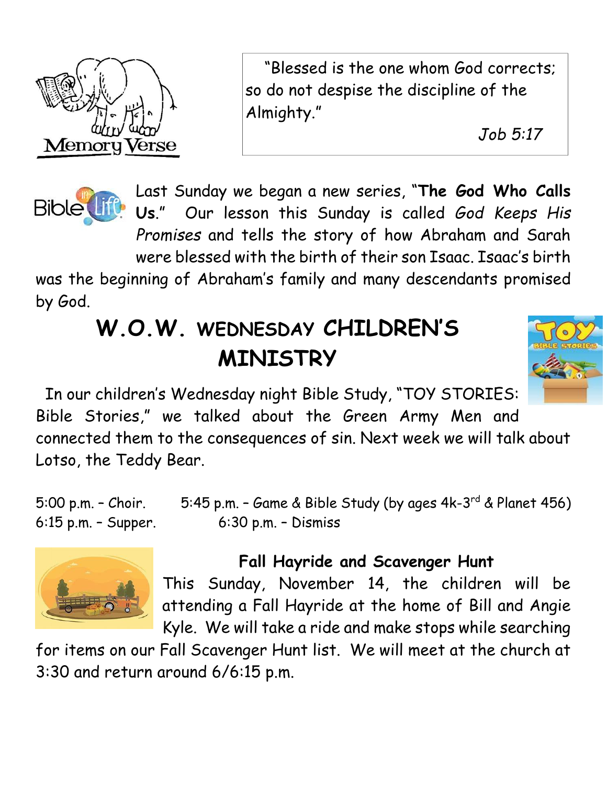

 April 11, 2021 "Blessed is the one whom God corrects; so do not despise the discipline of the Almighty."

Vol. 46 No. 14  *Job 5:17* 



Last Sunday we began a new series, "**The God Who Calls Us**." Our lesson this Sunday is called *God Keeps His Promises* and tells the story of how Abraham and Sarah were blessed with the birth of their son Isaac. Isaac's birth

was the beginning of Abraham's family and many descendants promised by God.

# **W.O.W. WEDNESDAY CHILDREN'S MINISTRY**



 In our children's Wednesday night Bible Study, "TOY STORIES: Bible Stories," we talked about the Green Army Men and connected them to the consequences of sin. Next week we will talk about

Lotso, the Teddy Bear.

5:00 p.m. – Choir. 5:45 p.m. – Game & Bible Study (by ages 4k-3<sup>rd</sup> & Planet 456) 6:15 p.m. – Supper. 6:30 p.m. – Dismiss



## **Fall Hayride and Scavenger Hunt**

This Sunday, November 14, the children will be attending a Fall Hayride at the home of Bill and Angie Kyle. We will take a ride and make stops while searching

for items on our Fall Scavenger Hunt list. We will meet at the church at 3:30 and return around 6/6:15 p.m.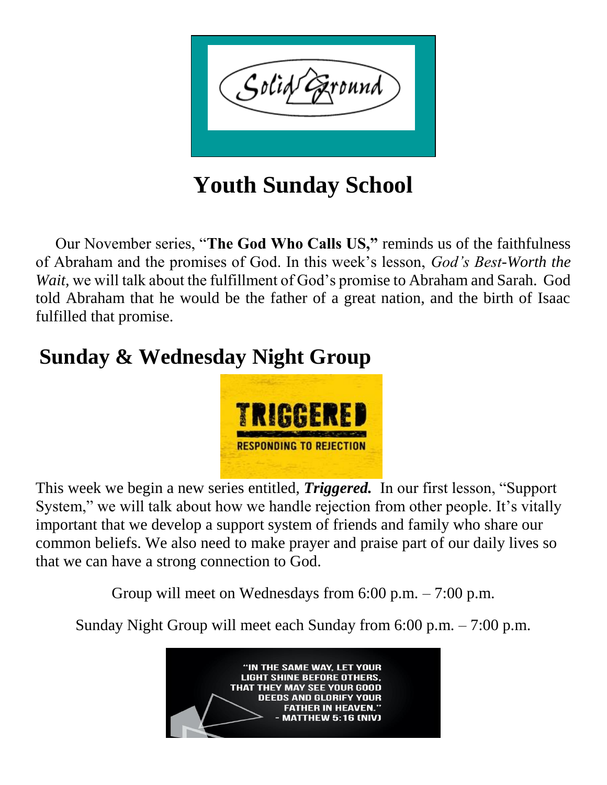

**Youth Sunday School**

Our November series, "**The God Who Calls US,"** reminds us of the faithfulness of Abraham and the promises of God. In this week's lesson, *God's Best-Worth the Wait,* we will talk about the fulfillment of God's promise to Abraham and Sarah. God told Abraham that he would be the father of a great nation, and the birth of Isaac fulfilled that promise.

## **Sunday & Wednesday Night Group**



This week we begin a new series entitled, *Triggered.* In our first lesson, "Support System," we will talk about how we handle rejection from other people. It's vitally important that we develop a support system of friends and family who share our common beliefs. We also need to make prayer and praise part of our daily lives so that we can have a strong connection to God.

Group will meet on Wednesdays from 6:00 p.m. – 7:00 p.m.

Sunday Night Group will meet each Sunday from 6:00 p.m. – 7:00 p.m.